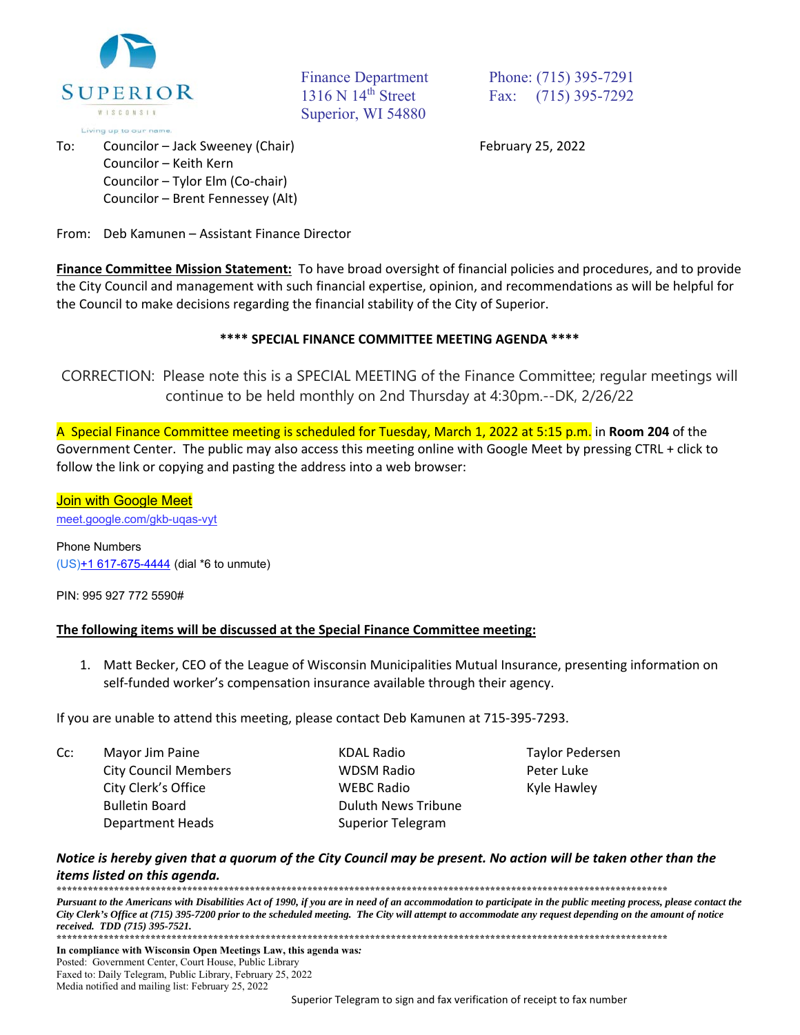

 To: Councilor – Jack Sweeney (Chair) February 25, 2022 Councilor – Keith Kern Councilor – Tylor Elm (Co‐chair) Councilor – Brent Fennessey (Alt)

Superior, WI 54880

Finance Department Phone: (715) 395-7291 1316 N 14<sup>th</sup> Street Fax: (715) 395-7292

From: Deb Kamunen – Assistant Finance Director

**Finance Committee Mission Statement:** To have broad oversight of financial policies and procedures, and to provide the City Council and management with such financial expertise, opinion, and recommendations as will be helpful for the Council to make decisions regarding the financial stability of the City of Superior.

## **\*\*\*\* SPECIAL FINANCE COMMITTEE MEETING AGENDA \*\*\*\***

CORRECTION: Please note this is a SPECIAL MEETING of the Finance Committee; regular meetings will continue to be held monthly on 2nd Thursday at 4:30pm.--DK, 2/26/22

A Special Finance Committee meeting is scheduled for Tuesday, March 1, 2022 at 5:15 p.m. in **Room 204** of the Government Center. The public may also access this meeting online with Google Meet by pressing CTRL + click to follow the link or copying and pasting the address into a web browser:

## **Join with Google Meet**

meet.google.com/gkb-uqas-vyt

Phone Numbers (US)+1 617-675-4444 (dial \*6 to unmute)

PIN: 995 927 772 5590#

## **The following items will be discussed at the Special Finance Committee meeting:**

1. Matt Becker, CEO of the League of Wisconsin Municipalities Mutual Insurance, presenting information on self-funded worker's compensation insurance available through their agency.

If you are unable to attend this meeting, please contact Deb Kamunen at 715‐395‐7293.

| Cc: | Mayor Jim Paine             | <b>KDAL Radio</b>          | <b>Taylor Pedersen</b> |
|-----|-----------------------------|----------------------------|------------------------|
|     | <b>City Council Members</b> | <b>WDSM Radio</b>          | Peter Luke             |
|     | City Clerk's Office         | <b>WEBC Radio</b>          | Kyle Hawley            |
|     | <b>Bulletin Board</b>       | <b>Duluth News Tribune</b> |                        |
|     | <b>Department Heads</b>     | Superior Telegram          |                        |

## *Notice is hereby given that a quorum of the City Council may be present. No action will be taken other than the items listed on this agenda.*

**\*\*\*\*\*\*\*\*\*\*\*\*\*\*\*\*\*\*\*\*\*\*\*\*\*\*\*\*\*\*\*\*\*\*\*\*\*\*\*\*\*\*\*\*\*\*\*\*\*\*\*\*\*\*\*\*\*\*\*\*\*\*\*\*\*\*\*\*\*\*\*\*\*\*\*\*\*\*\*\*\*\*\*\*\*\*\*\*\*\*\*\*\*\*\*\*\*\*\*\*\*\*\*\*\*\*\*\*\*\*\*\*\*\*\*\*\*** 

Pursuant to the Americans with Disabilities Act of 1990, if you are in need of an accommodation to participate in the public meeting process, please contact the *City Clerk's Office at (715) 395-7200 prior to the scheduled meeting. The City will attempt to accommodate any request depending on the amount of notice received. TDD (715) 395-7521.* **\*\*\*\*\*\*\*\*\*\*\*\*\*\*\*\*\*\*\*\*\*\*\*\*\*\*\*\*\*\*\*\*\*\*\*\*\*\*\*\*\*\*\*\*\*\*\*\*\*\*\*\*\*\*\*\*\*\*\*\*\*\*\*\*\*\*\*\*\*\*\*\*\*\*\*\*\*\*\*\*\*\*\*\*\*\*\*\*\*\*\*\*\*\*\*\*\*\*\*\*\*\*\*\*\*\*\*\*\*\*\*\*\*\*\*\*\***

**In compliance with Wisconsin Open Meetings Law, this agenda was***:* Posted: Government Center, Court House, Public Library Faxed to: Daily Telegram, Public Library, February 25, 2022 Media notified and mailing list: February 25, 2022